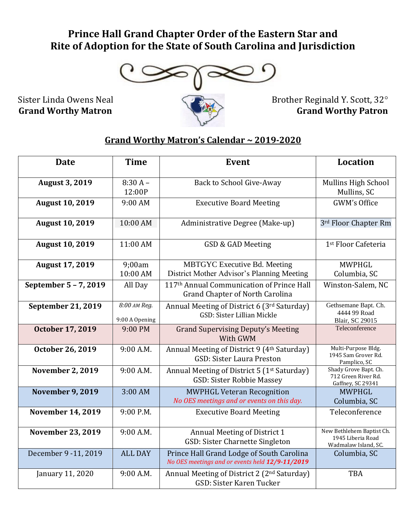## **Prince Hall Grand Chapter Order of the Eastern Star and Rite of Adoption for the State of South Carolina and Jurisdiction**



## **Grand Worthy Matron's Calendar ~ 2019-2020**

| <b>Date</b>               | <b>Time</b>                    | <b>Event</b>                                                                                 | <b>Location</b>                                                        |
|---------------------------|--------------------------------|----------------------------------------------------------------------------------------------|------------------------------------------------------------------------|
| <b>August 3, 2019</b>     | $8:30 A -$<br>12:00P           | Back to School Give-Away                                                                     | Mullins High School<br>Mullins, SC                                     |
| <b>August 10, 2019</b>    | 9:00 AM                        | <b>Executive Board Meeting</b>                                                               | GWM's Office                                                           |
| <b>August 10, 2019</b>    | 10:00 AM                       | Administrative Degree (Make-up)                                                              | 3rd Floor Chapter Rm                                                   |
| <b>August 10, 2019</b>    | 11:00 AM                       | GSD & GAD Meeting                                                                            | 1 <sup>st</sup> Floor Cafeteria                                        |
| <b>August 17, 2019</b>    | 9;00am<br>10:00 AM             | <b>MBTGYC</b> Executive Bd. Meeting<br>District Mother Advisor's Planning Meeting            | <b>MWPHGL</b><br>Columbia, SC                                          |
| September 5 - 7, 2019     | All Day                        | 117th Annual Communication of Prince Hall<br><b>Grand Chapter of North Carolina</b>          | Winston-Salem, NC                                                      |
| <b>September 21, 2019</b> | 8:00 АМ Reg.<br>9:00 A Opening | Annual Meeting of District 6 (3rd Saturday)<br>GSD: Sister Lillian Mickle                    | Gethsemane Bapt. Ch.<br>4444 99 Road<br><b>Blair, SC 29015</b>         |
| <b>October 17, 2019</b>   | 9:00 PM                        | <b>Grand Supervising Deputy's Meeting</b><br>With GWM                                        | Teleconference                                                         |
| October 26, 2019          | 9:00 A.M.                      | Annual Meeting of District 9 (4th Saturday)<br><b>GSD: Sister Laura Preston</b>              | Multi-Purpose Bldg.<br>1945 Sam Grover Rd.<br>Pamplico, SC             |
| <b>November 2, 2019</b>   | 9:00 A.M.                      | Annual Meeting of District 5 (1 <sup>st</sup> Saturday)<br>GSD: Sister Robbie Massey         | Shady Grove Bapt. Ch.<br>712 Green River Rd.<br>Gaffney, SC 29341      |
| <b>November 9, 2019</b>   | 3:00 AM                        | <b>MWPHGL Veteran Recognition</b><br>No OES meetings and or events on this day.              | <b>MWPHGL</b><br>Columbia, SC                                          |
| <b>November 14, 2019</b>  | 9:00 P.M.                      | <b>Executive Board Meeting</b>                                                               | Teleconference                                                         |
| <b>November 23, 2019</b>  | 9:00 A.M.                      | Annual Meeting of District 1<br>GSD: Sister Charnette Singleton                              | New Bethlehem Baptist Ch.<br>1945 Liberia Road<br>Wadmalaw Island, SC. |
| December 9 - 11, 2019     | <b>ALL DAY</b>                 | Prince Hall Grand Lodge of South Carolina<br>No OES meetings and or events held 12/9-11/2019 | Columbia, SC                                                           |
| January 11, 2020          | 9:00 A.M.                      | Annual Meeting of District 2 (2 <sup>nd</sup> Saturday)<br>GSD: Sister Karen Tucker          | <b>TBA</b>                                                             |